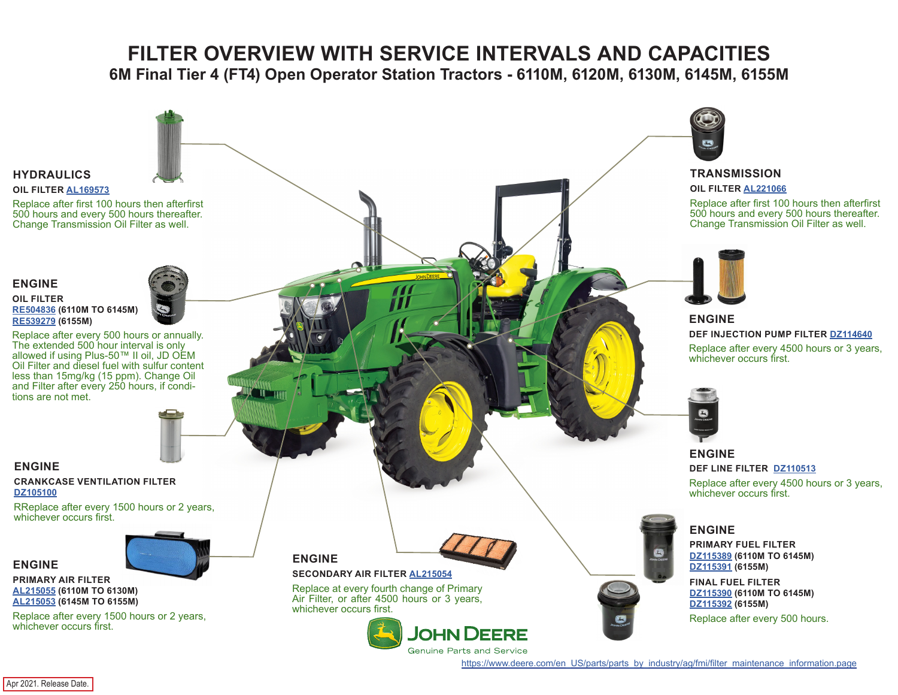# **FILTER OVERVIEW WITH SERVICE INTERVALS AND CAPACITIES**

**6M Final Tier 4 (FT4) Open Operator Station Tractors - 6110M, 6120M, 6130M, 6145M, 6155M**

<span id="page-0-0"></span>